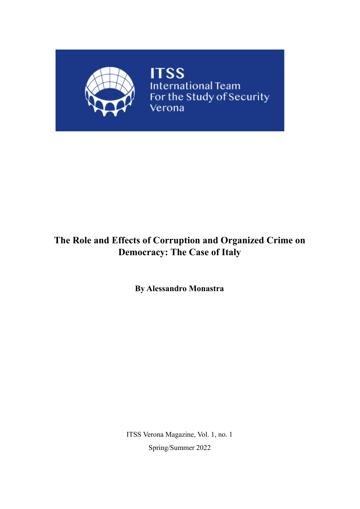

**ITSS**<br>International Team<br>For the Study of Security Verona

## **The Role and Effects of Corruption and Organized Crime on Democracy: The Case of Italy**

**By Alessandro Monastra**

ITSS Verona Magazine, Vol. 1, no. 1 Spring/Summer 2022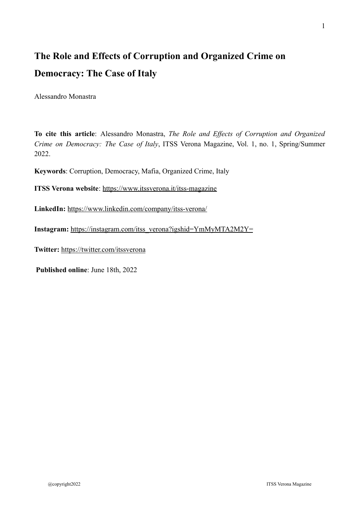# **The Role and Effects of Corruption and Organized Crime on Democracy: The Case of Italy**

Alessandro Monastra

**To cite this article**: Alessandro Monastra, *The Role and Effects of Corruption and Organized Crime on Democracy: The Case of Italy*, ITSS Verona Magazine, Vol. 1, no. 1, Spring/Summer 2022.

**Keywords**: Corruption, Democracy, Mafia, Organized Crime, Italy

**ITSS Verona website**: <https://www.itssverona.it/itss-magazine>

**LinkedIn:** <https://www.linkedin.com/company/itss-verona/>

**Instagram:** [https://instagram.com/itss\\_verona?igshid=YmMyMTA2M2Y=](https://instagram.com/itss_verona?igshid=YmMyMTA2M2Y=)

**Twitter:** <https://twitter.com/itssverona>

**Published online**: June 18th, 2022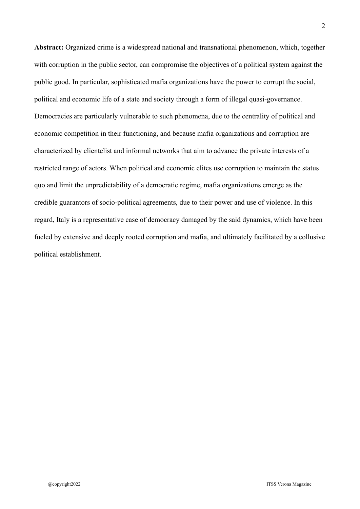**Abstract:** Organized crime is a widespread national and transnational phenomenon, which, together with corruption in the public sector, can compromise the objectives of a political system against the public good. In particular, sophisticated mafia organizations have the power to corrupt the social, political and economic life of a state and society through a form of illegal quasi-governance. Democracies are particularly vulnerable to such phenomena, due to the centrality of political and economic competition in their functioning, and because mafia organizations and corruption are characterized by clientelist and informal networks that aim to advance the private interests of a restricted range of actors. When political and economic elites use corruption to maintain the status quo and limit the unpredictability of a democratic regime, mafia organizations emerge as the credible guarantors of socio-political agreements, due to their power and use of violence. In this regard, Italy is a representative case of democracy damaged by the said dynamics, which have been fueled by extensive and deeply rooted corruption and mafia, and ultimately facilitated by a collusive political establishment.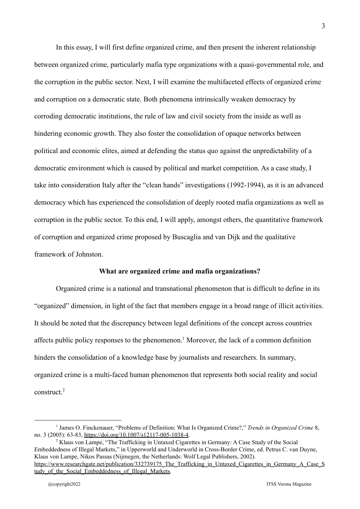In this essay, I will first define organized crime, and then present the inherent relationship between organized crime, particularly mafia type organizations with a quasi-governmental role, and the corruption in the public sector. Next, I will examine the multifaceted effects of organized crime and corruption on a democratic state. Both phenomena intrinsically weaken democracy by corroding democratic institutions, the rule of law and civil society from the inside as well as hindering economic growth. They also foster the consolidation of opaque networks between political and economic elites, aimed at defending the status quo against the unpredictability of a democratic environment which is caused by political and market competition. As a case study, I take into consideration Italy after the "clean hands" investigations (1992-1994), as it is an advanced democracy which has experienced the consolidation of deeply rooted mafia organizations as well as corruption in the public sector. To this end, I will apply, amongst others, the quantitative framework of corruption and organized crime proposed by Buscaglia and van Dijk and the qualitative framework of Johnston.

#### **What are organized crime and mafia organizations?**

Organized crime is a national and transnational phenomenon that is difficult to define in its "organized" dimension, in light of the fact that members engage in a broad range of illicit activities. It should be noted that the discrepancy between legal definitions of the concept across countries affects public policy responses to the phenomenon.<sup>1</sup> Moreover, the lack of a common definition hinders the consolidation of a knowledge base by journalists and researchers. In summary, organized crime is a multi-faced human phenomenon that represents both social reality and social construct  $2$ 

<sup>2</sup> Klaus von Lampe, "The Trafficking in Untaxed Cigarettes in Germany: A Case Study of the Social Embeddedness of Illegal Markets," in Upperworld and Underworld in Cross-Border Crime, ed. Petrus C. van Duyne, Klaus von Lampe, Nikos Passas (Nijmegen, the Netherlands: Wolf Legal Publishers, 2002). [https://www.researchgate.net/publication/332739175\\_The\\_Trafficking\\_in\\_Untaxed\\_Cigarettes\\_in\\_Germany\\_A\\_Case\\_S](https://www.researchgate.net/publication/332739175_The_Trafficking_in_Untaxed_Cigarettes_in_Germany_A_Case_Study_of_the_Social_Embeddedness_of_Illegal_Markets) tudy of the Social Embeddedness of Illegal Markets.

<sup>1</sup> James O. Finckenauer, "Problems of Definition: What Is Organized Crime?," *Trends in Organized Crime* 8, no. 3 (2005): 63-83, <https://doi.org/10.1007/s12117-005-1038-4>.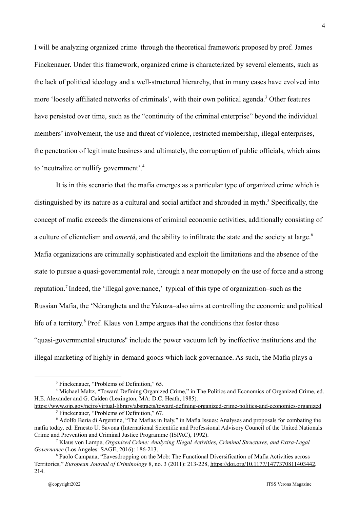I will be analyzing organized crime through the theoretical framework proposed by prof. James Finckenauer. Under this framework, organized crime is characterized by several elements, such as the lack of political ideology and a well-structured hierarchy, that in many cases have evolved into more 'loosely affiliated networks of criminals', with their own political agenda.<sup>3</sup> Other features have persisted over time, such as the "continuity of the criminal enterprise" beyond the individual members' involvement, the use and threat of violence, restricted membership, illegal enterprises, the penetration of legitimate business and ultimately, the corruption of public officials, which aims to 'neutralize or nullify government'.<sup>4</sup>

It is in this scenario that the mafia emerges as a particular type of organized crime which is distinguished by its nature as a cultural and social artifact and shrouded in myth.<sup>5</sup> Specifically, the concept of mafia exceeds the dimensions of criminal economic activities, additionally consisting of a culture of clientelism and *omertà*, and the ability to infiltrate the state and the society at large.<sup>6</sup> Mafia organizations are criminally sophisticated and exploit the limitations and the absence of the state to pursue a quasi-governmental role, through a near monopoly on the use of force and a strong reputation.<sup>7</sup> Indeed, the 'illegal governance,' typical of this type of organization–such as the Russian Mafia, the 'Ndrangheta and the Yakuza–also aims at controlling the economic and political life of a territory.<sup>8</sup> Prof. Klaus von Lampe argues that the conditions that foster these "quasi-governmental structures'' include the power vacuum left by ineffective institutions and the illegal marketing of highly in-demand goods which lack governance. As such, the Mafia plays a

<sup>&</sup>lt;sup>3</sup> Finckenauer, "Problems of Definition," 65.

<sup>4</sup> Michael Maltz, "Toward Defining Organized Crime," in The Politics and Economics of Organized Crime, ed. H.E. Alexander and G. Caiden (Lexington, MA: D.C. Heath, 1985).

<sup>5</sup> Finckenauer, "Problems of Definition," 67. <https://www.ojp.gov/ncjrs/virtual-library/abstracts/toward-defining-organized-crime-politics-and-economics-organized>

<sup>6</sup> Adolfo Beria di Argentine, "The Mafias in Italy," in Mafia Issues: Analyses and proposals for combating the mafia today, ed. Ernesto U. Savona (International Scientific and Professional Advisory Council of the United Nationals Crime and Prevention and Criminal Justice Programme (ISPAC), 1992).

<sup>7</sup> Klaus von Lampe, *Organized Crime: Analyzing Illegal Activities, Criminal Structures, and Extra-Legal Governance* (Los Angeles: SAGE, 2016): 186-213.

<sup>8</sup> Paolo Campana, "Eavesdropping on the Mob: The Functional Diversification of Mafia Activities across Territories," *European Journal of Criminology* 8, no. 3 (2011): 213-228, [https://doi.org/10.1177/1477370811403442,](https://doi.org/10.1177/1477370811403442) 214.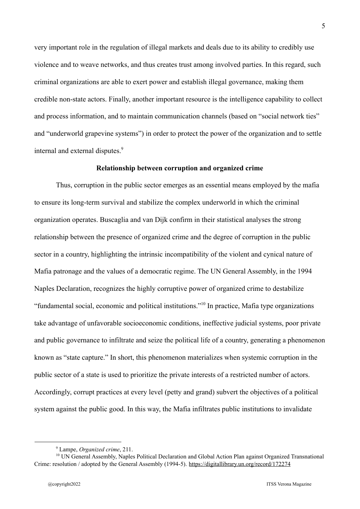very important role in the regulation of illegal markets and deals due to its ability to credibly use violence and to weave networks, and thus creates trust among involved parties. In this regard, such criminal organizations are able to exert power and establish illegal governance, making them credible non-state actors. Finally, another important resource is the intelligence capability to collect and process information, and to maintain communication channels (based on "social network ties" and "underworld grapevine systems") in order to protect the power of the organization and to settle internal and external disputes.<sup>9</sup>

#### **Relationship between corruption and organized crime**

Thus, corruption in the public sector emerges as an essential means employed by the mafia to ensure its long-term survival and stabilize the complex underworld in which the criminal organization operates. Buscaglia and van Dijk confirm in their statistical analyses the strong relationship between the presence of organized crime and the degree of corruption in the public sector in a country, highlighting the intrinsic incompatibility of the violent and cynical nature of Mafia patronage and the values of a democratic regime. The UN General Assembly, in the 1994 Naples Declaration, recognizes the highly corruptive power of organized crime to destabilize "fundamental social, economic and political institutions."<sup>10</sup> In practice, Mafia type organizations take advantage of unfavorable socioeconomic conditions, ineffective judicial systems, poor private and public governance to infiltrate and seize the political life of a country, generating a phenomenon known as "state capture." In short, this phenomenon materializes when systemic corruption in the public sector of a state is used to prioritize the private interests of a restricted number of actors. Accordingly, corrupt practices at every level (petty and grand) subvert the objectives of a political system against the public good. In this way, the Mafia infiltrates public institutions to invalidate

<sup>9</sup> Lampe, *Organized crime*, 211.

<sup>&</sup>lt;sup>10</sup> UN General Assembly, Naples Political Declaration and Global Action Plan against Organized Transnational Crime: resolution / adopted by the General Assembly (1994-5). <https://digitallibrary.un.org/record/172274>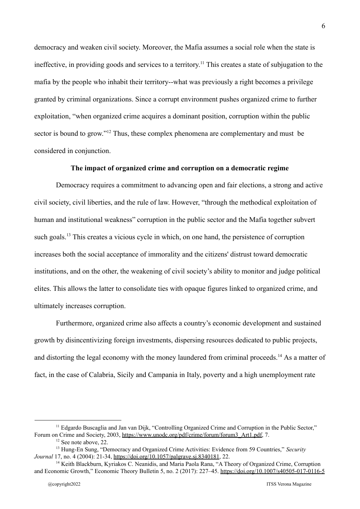democracy and weaken civil society. Moreover, the Mafia assumes a social role when the state is ineffective, in providing goods and services to a territory.<sup>11</sup> This creates a state of subjugation to the mafia by the people who inhabit their territory--what was previously a right becomes a privilege granted by criminal organizations. Since a corrupt environment pushes organized crime to further exploitation, "when organized crime acquires a dominant position, corruption within the public sector is bound to grow."<sup> $12$ </sup> Thus, these complex phenomena are complementary and must be considered in conjunction.

#### **The impact of organized crime and corruption on a democratic regime**

Democracy requires a commitment to advancing open and fair elections, a strong and active civil society, civil liberties, and the rule of law. However, "through the methodical exploitation of human and institutional weakness" corruption in the public sector and the Mafia together subvert such goals.<sup>13</sup> This creates a vicious cycle in which, on one hand, the persistence of corruption increases both the social acceptance of immorality and the citizens' distrust toward democratic institutions, and on the other, the weakening of civil society's ability to monitor and judge political elites. This allows the latter to consolidate ties with opaque figures linked to organized crime, and ultimately increases corruption.

Furthermore, organized crime also affects a country's economic development and sustained growth by disincentivizing foreign investments, dispersing resources dedicated to public projects, and distorting the legal economy with the money laundered from criminal proceeds.<sup>14</sup> As a matter of fact, in the case of Calabria, Sicily and Campania in Italy, poverty and a high unemployment rate

 $11$  Edgardo Buscaglia and Jan van Dijk, "Controlling Organized Crime and Corruption in the Public Sector." Forum on Crime and Society, 2003, [https://www.unodc.org/pdf/crime/forum/forum3\\_Art1.pdf,](https://www.unodc.org/pdf/crime/forum/forum3_Art1.pdf) 7.

 $12$  See note above, 22.

<sup>13</sup> Hung-En Sung, "Democracy and Organized Crime Activities: Evidence from 59 Countries," *Security Journal* 17, no. 4 (2004): 21-34, <https://doi.org/10.1057/palgrave.sj.8340181>, 22.

<sup>&</sup>lt;sup>14</sup> Keith Blackburn, Kyriakos C. Neanidis, and Maria Paola Rana, "A Theory of Organized Crime, Corruption and Economic Growth," Economic Theory Bulletin 5, no. 2 (2017): 227–45. <https://doi.org/10.1007/s40505-017-0116-5>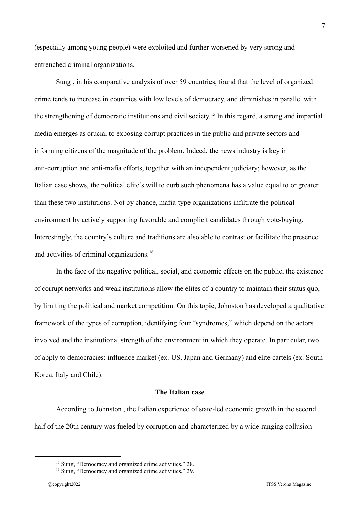(especially among young people) were exploited and further worsened by very strong and entrenched criminal organizations.

Sung , in his comparative analysis of over 59 countries, found that the level of organized crime tends to increase in countries with low levels of democracy, and diminishes in parallel with the strengthening of democratic institutions and civil society.<sup>15</sup> In this regard, a strong and impartial media emerges as crucial to exposing corrupt practices in the public and private sectors and informing citizens of the magnitude of the problem. Indeed, the news industry is key in anti-corruption and anti-mafia efforts, together with an independent judiciary; however, as the Italian case shows, the political elite's will to curb such phenomena has a value equal to or greater than these two institutions. Not by chance, mafia-type organizations infiltrate the political environment by actively supporting favorable and complicit candidates through vote-buying. Interestingly, the country's culture and traditions are also able to contrast or facilitate the presence and activities of criminal organizations.<sup>16</sup>

In the face of the negative political, social, and economic effects on the public, the existence of corrupt networks and weak institutions allow the elites of a country to maintain their status quo, by limiting the political and market competition. On this topic, Johnston has developed a qualitative framework of the types of corruption, identifying four "syndromes," which depend on the actors involved and the institutional strength of the environment in which they operate. In particular, two of apply to democracies: influence market (ex. US, Japan and Germany) and elite cartels (ex. South Korea, Italy and Chile).

#### **The Italian case**

According to Johnston , the Italian experience of state-led economic growth in the second half of the 20th century was fueled by corruption and characterized by a wide-ranging collusion

<sup>&</sup>lt;sup>15</sup> Sung, "Democracy and organized crime activities," 28.

<sup>&</sup>lt;sup>16</sup> Sung, "Democracy and organized crime activities," 29.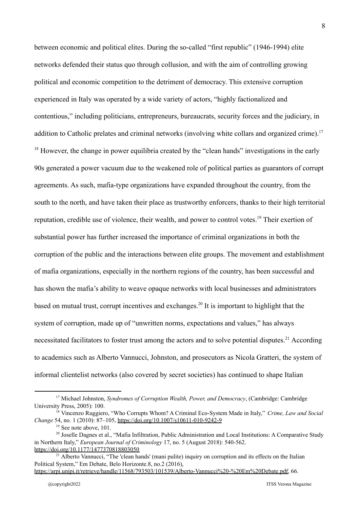between economic and political elites. During the so-called "first republic" (1946-1994) elite networks defended their status quo through collusion, and with the aim of controlling growing political and economic competition to the detriment of democracy. This extensive corruption experienced in Italy was operated by a wide variety of actors, "highly factionalized and contentious," including politicians, entrepreneurs, bureaucrats, security forces and the judiciary, in addition to Catholic prelates and criminal networks (involving white collars and organized crime).<sup>17</sup>  $^{18}$  However, the change in power equilibria created by the "clean hands" investigations in the early 90s generated a power vacuum due to the weakened role of political parties as guarantors of corrupt agreements. As such, mafia-type organizations have expanded throughout the country, from the south to the north, and have taken their place as trustworthy enforcers, thanks to their high territorial reputation, credible use of violence, their wealth, and power to control votes.<sup>19</sup> Their exertion of substantial power has further increased the importance of criminal organizations in both the corruption of the public and the interactions between elite groups. The movement and establishment of mafia organizations, especially in the northern regions of the country, has been successful and has shown the mafia's ability to weave opaque networks with local businesses and administrators based on mutual trust, corrupt incentives and exchanges.<sup>20</sup> It is important to highlight that the system of corruption, made up of "unwritten norms, expectations and values," has always necessitated facilitators to foster trust among the actors and to solve potential disputes.<sup>21</sup> According to academics such as Alberto Vannucci, Johnston, and prosecutors as Nicola Gratteri, the system of informal clientelist networks (also covered by secret societies) has continued to shape Italian

<sup>17</sup> Michael Johnston, *Syndromes of Corruption Wealth, Power, and Democracy*, (Cambridge: Cambridge University Press, 2005): 100.

<sup>18</sup> Vincenzo Ruggiero, "Who Corrupts Whom? A Criminal Eco-System Made in Italy," *Crime, Law and Social Change* 54, no. 1 (2010): 87–105, <https://doi.org/10.1007/s10611-010-9242-9>

 $19$  See note above, 101.

<sup>&</sup>lt;sup>20</sup> Joselle Dagnes et al., "Mafia Infiltration, Public Administration and Local Institutions: A Comparative Study in Northern Italy," *European Journal of Criminology* 17, no. 5 (August 2018): 540-562. <https://doi.org/10.1177/1477370818803050>

<sup>&</sup>lt;sup>21</sup> Alberto Vannucci, "The 'clean hands' (mani pulite) inquiry on corruption and its effects on the Italian Political System," Em Debate, Belo Horizonte.8, no.2 (2016),

[https://arpi.unipi.it/retrieve/handle/11568/793503/101539/Alberto-Vannucci%20-%20Em%20Debate.pdf,](https://arpi.unipi.it/retrieve/handle/11568/793503/101539/Alberto-Vannucci%20-%20Em%20Debate.pdf) 66.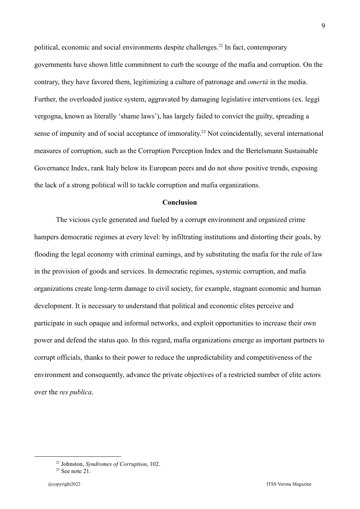political, economic and social environments despite challenges.<sup>22</sup> In fact, contemporary governments have shown little commitment to curb the scourge of the mafia and corruption. On the contrary, they have favored them, legitimizing a culture of patronage and *omertà* in the media. Further, the overloaded justice system, aggravated by damaging legislative interventions (ex. leggi vergogna, known as literally 'shame laws'), has largely failed to convict the guilty, spreading a sense of impunity and of social acceptance of immorality.<sup>23</sup> Not coincidentally, several international measures of corruption, such as the Corruption Perception Index and the Bertelsmann Sustainable Governance Index, rank Italy below its European peers and do not show positive trends, exposing the lack of a strong political will to tackle corruption and mafia organizations.

#### **Conclusion**

The vicious cycle generated and fueled by a corrupt environment and organized crime hampers democratic regimes at every level: by infiltrating institutions and distorting their goals, by flooding the legal economy with criminal earnings, and by substituting the mafia for the rule of law in the provision of goods and services. In democratic regimes, systemic corruption, and mafia organizations create long-term damage to civil society, for example, stagnant economic and human development. It is necessary to understand that political and economic elites perceive and participate in such opaque and informal networks, and exploit opportunities to increase their own power and defend the status quo. In this regard, mafia organizations emerge as important partners to corrupt officials, thanks to their power to reduce the unpredictability and competitiveness of the environment and consequently, advance the private objectives of a restricted number of elite actors over the *res publica*.

<sup>22</sup> Johnston, *Syndromes of Corruption*, 102.

 $23$  See note 21.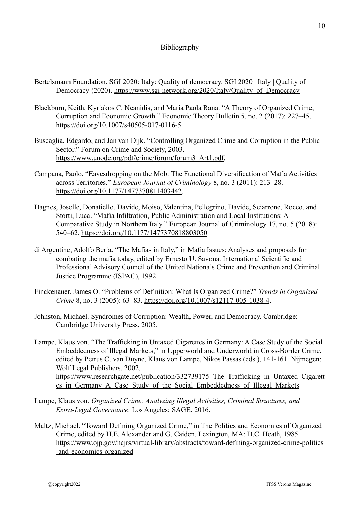### Bibliography

- Bertelsmann Foundation. SGI 2020: Italy: Quality of democracy. SGI 2020 | Italy | Quality of Democracy (2020). [https://www.sgi-network.org/2020/Italy/Quality\\_of\\_Democracy](https://www.sgi-network.org/2020/Italy/Quality_of_Democracy)
- Blackburn, Keith, Kyriakos C. Neanidis, and Maria Paola Rana. "A Theory of Organized Crime, Corruption and Economic Growth." Economic Theory Bulletin 5, no. 2 (2017): 227–45. <https://doi.org/10.1007/s40505-017-0116-5>
- Buscaglia, Edgardo, and Jan van Dijk. "Controlling Organized Crime and Corruption in the Public Sector." Forum on Crime and Society, 2003. [https://www.unodc.org/pdf/crime/forum/forum3\\_Art1.pdf.](https://www.unodc.org/pdf/crime/forum/forum3_Art1.pdf)
- Campana, Paolo. "Eavesdropping on the Mob: The Functional Diversification of Mafia Activities across Territories." *European Journal of Criminology* 8, no. 3 (2011): 213–28. [https://doi.org/10.1177/1477370811403442.](https://doi.org/10.1177/1477370811403442)
- Dagnes, Joselle, Donatiello, Davide, Moiso, Valentina, Pellegrino, Davide, Sciarrone, Rocco, and Storti, Luca. "Mafia Infiltration, Public Administration and Local Institutions: A Comparative Study in Northern Italy." European Journal of Criminology 17, no. 5 (2018): 540–62. <https://doi.org/10.1177/1477370818803050>
- di Argentine, Adolfo Beria. "The Mafias in Italy," in Mafia Issues: Analyses and proposals for combating the mafia today, edited by Ernesto U. Savona. International Scientific and Professional Advisory Council of the United Nationals Crime and Prevention and Criminal Justice Programme (ISPAC), 1992.
- Finckenauer, James O. "Problems of Definition: What Is Organized Crime?" *Trends in Organized Crime* 8, no. 3 (2005): 63–83. <https://doi.org/10.1007/s12117-005-1038-4>.
- Johnston, Michael. Syndromes of Corruption: Wealth, Power, and Democracy. Cambridge: Cambridge University Press, 2005.
- Lampe, Klaus von. "The Trafficking in Untaxed Cigarettes in Germany: A Case Study of the Social Embeddedness of Illegal Markets," in Upperworld and Underworld in Cross-Border Crime, edited by Petrus C. van Duyne, Klaus von Lampe, Nikos Passas (eds.), 141-161. Nijmegen: Wolf Legal Publishers, 2002. https://www.researchgate.net/publication/332739175 The Trafficking in Untaxed Cigarett es in Germany A Case Study of the Social Embeddedness of Illegal Markets
- Lampe, Klaus von. *Organized Crime: Analyzing Illegal Activities, Criminal Structures, and Extra-Legal Governance*. Los Angeles: SAGE, 2016.
- Maltz, Michael. "Toward Defining Organized Crime," in The Politics and Economics of Organized Crime, edited by H.E. Alexander and G. Caiden. Lexington, MA: D.C. Heath, 1985. [https://www.ojp.gov/ncjrs/virtual-library/abstracts/toward-defining-organized-crime-politics](https://www.ojp.gov/ncjrs/virtual-library/abstracts/toward-defining-organized-crime-politics-and-economics-organized) [-and-economics-organized](https://www.ojp.gov/ncjrs/virtual-library/abstracts/toward-defining-organized-crime-politics-and-economics-organized)